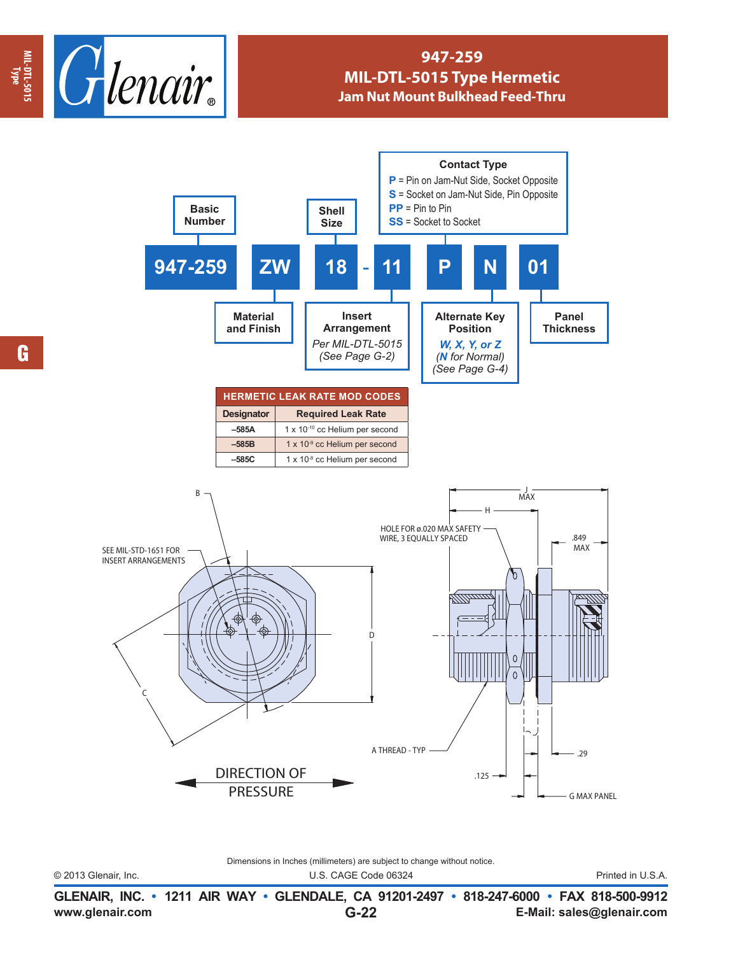

## **947-259 MIL-DTL-5015 Type Hermetic Jam Nut Mount Bulkhead Feed-Thru**



G

Dimensions in Inches (millimeters) are subject to change without notice.

© 2013 Glenair, Inc. U.S. CAGE Code 06324 Printed in U.S.A.

**www.glenair.com E-Mail: sales@glenair.com GLENAIR, INC. • 1211 AIR WAY • GLENDALE, CA 91201-2497 • 818-247-6000 • FAX 818-500-9912 G-22**